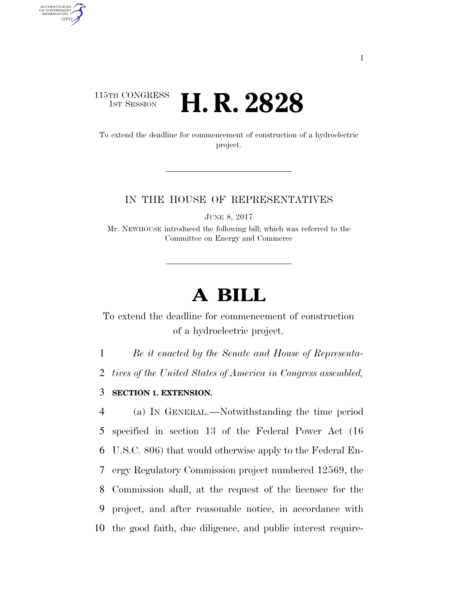## 115TH CONGRESS <sup>TH CONGRESS</sup> **H. R. 2828**

AUTHENTICATED<br>U.S. GOVERNMENT<br>INFORMATION **GPO** 

> To extend the deadline for commencement of construction of a hydroelectric project.

## IN THE HOUSE OF REPRESENTATIVES

JUNE 8, 2017

Mr. NEWHOUSE introduced the following bill; which was referred to the Committee on Energy and Commerce

## **A BILL**

To extend the deadline for commencement of construction of a hydroelectric project.

1 *Be it enacted by the Senate and House of Representa-*

2 *tives of the United States of America in Congress assembled,* 

3 **SECTION 1. EXTENSION.** 

 (a) IN GENERAL.—Notwithstanding the time period specified in section 13 of the Federal Power Act (16 U.S.C. 806) that would otherwise apply to the Federal En- ergy Regulatory Commission project numbered 12569, the Commission shall, at the request of the licensee for the project, and after reasonable notice, in accordance with the good faith, due diligence, and public interest require